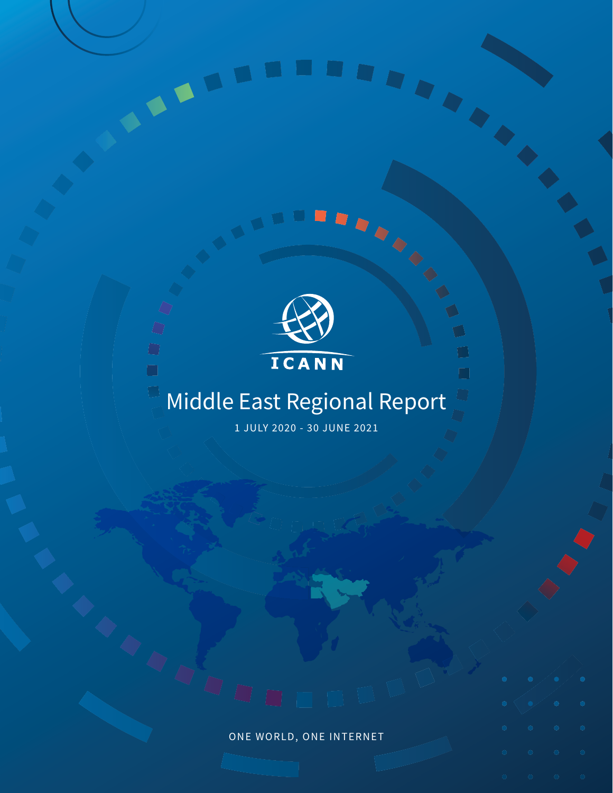

 $\bigcirc$  $\Box$ 

 $\Box$ 

### ICANN

 $\blacksquare$ 

 $\Box$ 

### Middle East Regional Report

1 JULY 2020 - 30 JUNE 2021

# ONE WORLD, ONE INTERNET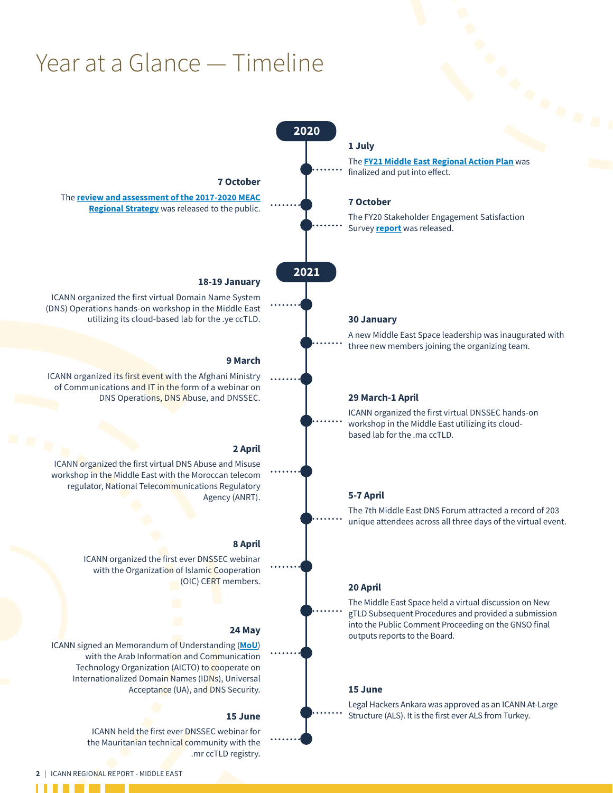### Year at a Glance — Timeline

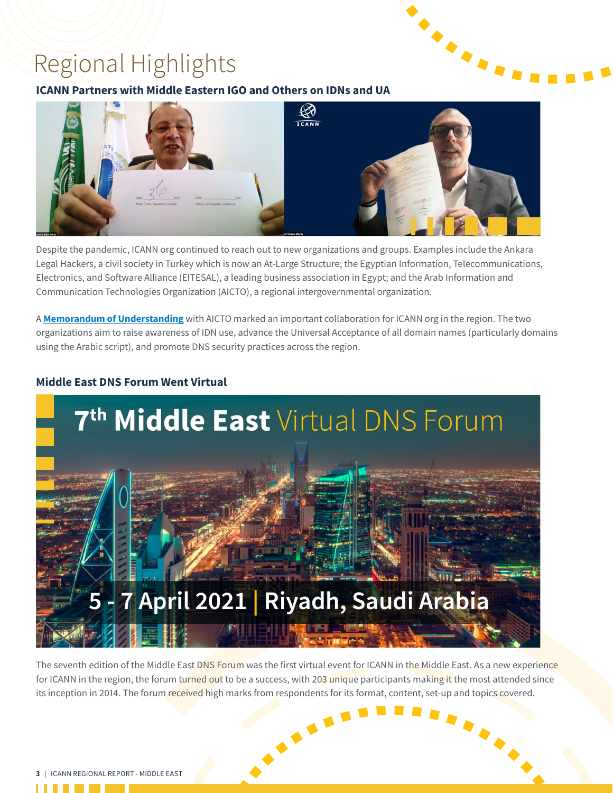### Regional Highlights

### **ICANN Partners with Middle Eastern IGO and Others on IDNs and UA**



Despite the pandemic, ICANN org continued to reach out to new organizations and groups. Examples include the Ankara Legal Hackers, a civil society in Turkey which is now an At-Large Structure; the Egyptian Information, Telecommunications, Electronics, and Software Alliance (EITESAL), a leading business association in Egypt; and the Arab Information and Communication Technologies Organization (AICTO), a regional intergovernmental organization.

A **[Memorandum of Understanding](https://www.icann.org/en/announcements/details/icann-and-the-arab-information-and-communication-technologies-organization-collaborate-on-internationalized-domain-names-and-universal-acceptance-in-the-middle-east-1-7-2021-en)** with AICTO marked an important collaboration for ICANN org in the region. The two organizations aim to raise awareness of IDN use, advance the Universal Acceptance of all domain names (particularly domains using the Arabic script), and promote DNS security practices across the region.



### **Middle East DNS Forum Went Virtual**

The seventh edition of the Middle East DNS Forum was the first virtual event for ICANN in the Middle East. As a new experience for ICANN in the region, the forum turned out to be a success, with 203 unique participants making it the most attended since Its inception in 2014. The forum received high marks from respondents for its format, content, set-up and topics covered.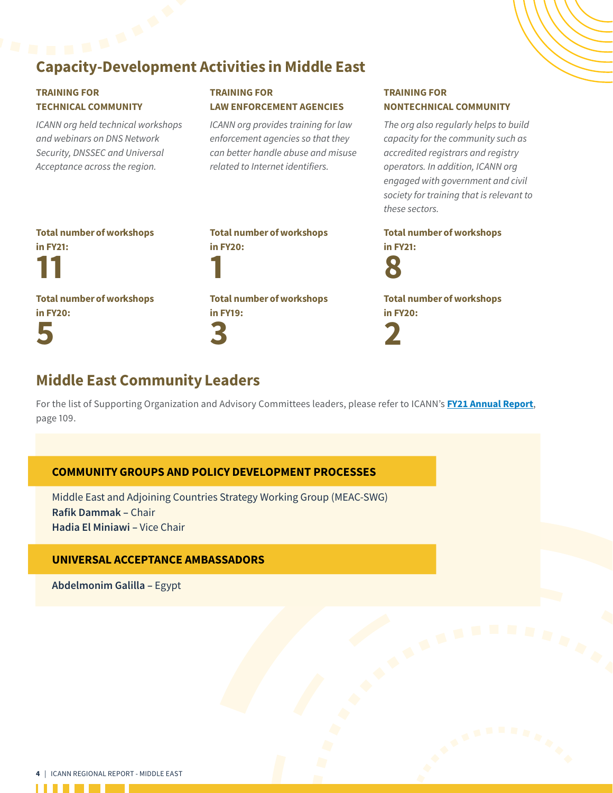## Capacity-Development Activities in Middle East

### TRAINING FOR TECHNICAL COMMUNITY

*ICANN org held technical workshops and webinars on DNS Network Security, DNSSEC and Universal Acceptance across the region.*

### TRAINING FOR LAW ENFORCEMENT AGENCIES

*ICANN org provides training for law enforcement agencies so that they can better handle abuse and misuse related to Internet identifiers.*

#### TRAINING FOR NONTECHNICAL COMMUNITY

*The org also regularly helps to build capacity for the community such as accredited registrars and registry operators. In addition, ICANN org engaged with government and civil society for training that is relevant to these sectors.*

Total number of workshops in FY21:

11

Total number of workshops in FY20: 5

1 Total number of workshops in FY19: 3

Total number of workshops

in FY20:

Total number of workshops in FY21:



Total number of workshops in FY20: 2

### Middle East Community Leaders

For the list of Supporting Organization and Advisory Committees leaders, please refer to ICANN's **[FY21 Annual Report](https://www.icann.org/en/system/files/files/annual-report-2021-en.pdf)**, page 109.

### COMMUNITY GROUPS AND POLICY DEVELOPMENT PROCESSES

Middle East and Adjoining Countries Strategy Working Group (MEAC-SWG) **Rafik Dammak –** Chair **Hadia El Miniawi –** Vice Chair

### UNIVERSAL ACCEPTANCE AMBASSADORS

**Abdelmonim Galilla –** Egypt